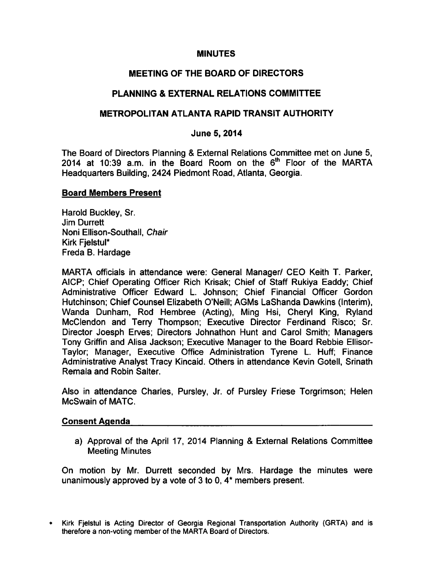### MINUTES

# MEETING OF THE BOARD OF DIRECTORS

# PLANNING & EXTERNAL RELATIONS COMMITTEE

### METROPOLITAN ATLANTA RAPID TRANSIT AUTHORITY

### June 5, 2014

The Board of Directors Planning & External Relations Committee met on June 5, 2014 at 10:39 a.m. in the Board Room on the  $6<sup>th</sup>$  Floor of the MARTA Headquarters Building, 2424 Piedmont Road, Atlanta, Georgia.

### Board Members Present

Harold Buckley, Sr. Jim Durrett Noni Ellison-Southall, Chair Kirk Fjelstul\* Freda B. Hardage

MARTA officials in attendance were: General Manager/ CEO Keith T. Parker, AICP; Chief Operating Officer Rich Krisak; Chief of Staff Rukiya Eaddy; Chief Administrative Officer Edward L. Johnson; Chief Financial Officer Gordon Hutchinson; Chief Counsel Elizabeth O'Neill; AGMs LaShanda Dawkins (Interim), Wanda Dunham, Rod Hembree (Acting), Ming Hsi, Cheryl King, Ryland McClendon and Terry Thompson; Executive Director Ferdinand Risco; Sr. Director Joesph Erves; Directors Johnathon Hunt and Carol Smith; Managers Tony Griffin and Alisa Jackson; Executive Manager to the Board Rebbie Ellisor-Taylor; Manager, Executive Office Administration Tyrene L. Huff; Finance Administrative Analyst Tracy Kincaid. Others in attendance Kevin Gotell, Srinath Remala and Robin Salter.

Also in attendance Charles, Pursley, Jr. of Pursley Friese Torgrimson; Helen McSwain of MATC.

### Consent Agenda

a) Approval of the April 17, 2014 Planning & External Relations Committee Meeting Minutes

On motion by Mr. Durrett seconded by Mrs. Hardage the minutes were unanimously approved by a vote of  $3$  to 0,  $4^*$  members present.

Kirk Fjelstul is Acting Director of Georgia Regional Transportation Authority (GRTA) and is  $\bullet$ therefore a non-voting member of the MARTA Board of Directors.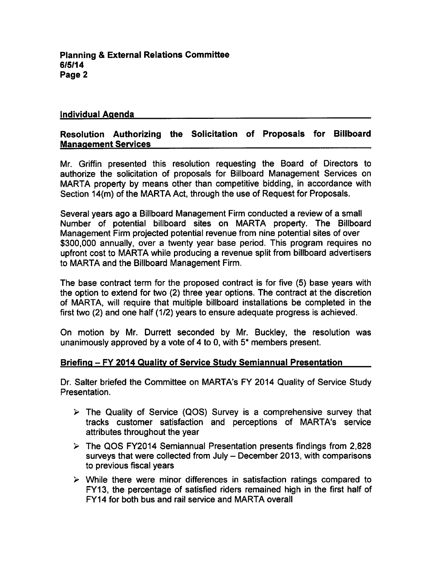### Individual Agenda

## Resolution Authorizing the Solicitation of Proposals for Billboard Management Services

Mr. Griffin presented this resolution requesting the Board of Directors to authorize the solicitation of proposals for Billboard Management Services on MARTA property by means other than competitive bidding, in accordance with Section 14(m) of the MARTA Act, through the use of Request for Proposals.

Several years ago a Billboard Management Firm conducted a review of a small Number of potential billboard sites on MARTA property. The Billboard Management Firm projected potential revenue from nine potential sites of over \$300,000 annually, over a twenty year base period. This program requires no upfront cost to MARTA while producing a revenue split from billboard advertisers to MARTA and the Billboard Management Firm.

The base contract term for the proposed contract is for five (5) base years with the option to extend for two (2) three year options. The contract at the discretion of MARTA, will require that multiple billboard installations be completed in the first two (2) and one half (1/2) years to ensure adequate progress is achieved.

On motion by Mr. Durrett seconded by Mr. Buckley, the resolution was unanimously approved by a vote of 4 to 0, with  $5*$  members present.

### Briefing - FY 2014 Quality of Service Study Semiannual Presentation

Dr. Salter briefed the Committee on MARTA's FY 2014 Quality of Service Study Presentation.

- $\triangleright$  The Quality of Service (QOS) Survey is a comprehensive survey that tracks customer satisfaction and perceptions of MARTA's service attributes throughout the year
- $\triangleright$  The QOS FY2014 Semiannual Presentation presents findings from 2,828 surveys that were collected from July  $-$  December 2013, with comparisons to previous fiscal years
- $\triangleright$  While there were minor differences in satisfaction ratings compared to FY13, the percentage of satisfied riders remained high in the first half of FY14 for both bus and rail service and MARTA overall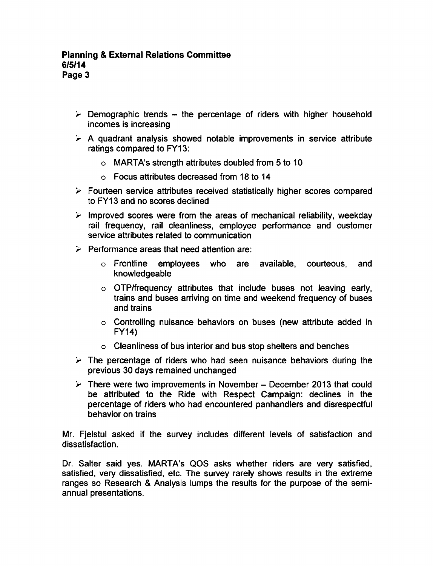- $\triangleright$  Demographic trends the percentage of riders with higher household incomes is increasing
- $\geq$  A quadrant analysis showed notable improvements in service attribute ratings compared to FY13:
	- $\circ$  MARTA's strength attributes doubled from 5 to 10
	- Focus attributes decreased from 18 to 14
- $\triangleright$  Fourteen service attributes received statistically higher scores compared to FY13 and no scores declined
- $\triangleright$  Improved scores were from the areas of mechanical reliability, weekday rail frequency, rail cleanliness, employee performance and customer service attributes related to communication
- $\geq$  Performance areas that need attention are:
	- Frontline employees who are available, courteous, and knowledgeable
	- OTP/frequency attributes that include buses not leaving early, trains and buses arriving on time and weekend frequency of buses and trains
	- Controlling nuisance behaviors on buses (new attribute added in FY14)
	- $\circ$  Cleanliness of bus interior and bus stop shelters and benches
- $\triangleright$  The percentage of riders who had seen nuisance behaviors during the previous 30 days remained unchanged
- $\triangleright$  There were two improvements in November December 2013 that could be attributed to the Ride with Respect Campaign: declines in the percentage of riders who had encountered panhandlers and disrespectful behavior on trains

Mr. Fjelstul asked if the survey includes different levels of satisfaction and dissatisfaction.

Dr. Salter said yes. MARTA's QOS asks whether riders are very satisfied, satisfied, very dissatisfied, etc. The survey rarely shows results in the extreme ranges so Research & Analysis lumps the results for the purpose of the semiannual presentations.